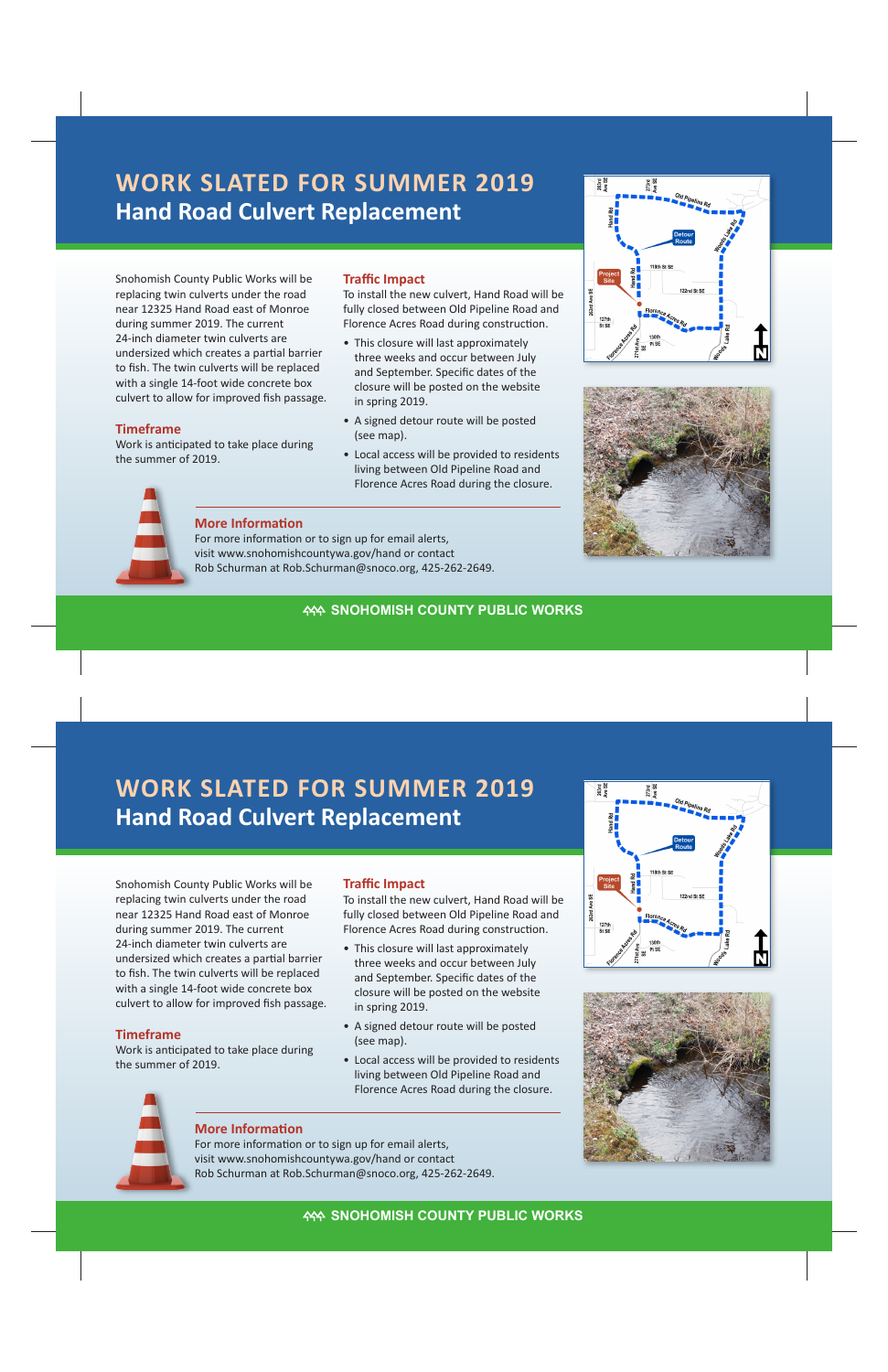# **Hand Road Culvert Replacement WORK SLATED FOR SUMMER 2019**

Snohomish County Public Works will be replacing twin culverts under the road near 12325 Hand Road east of Monroe during summer 2019. The current 24-inch diameter twin culverts are undersized which creates a partial barrier to fish. The twin culverts will be replaced with a single 14-foot wide concrete box culvert to allow for improved fish passage.

#### **Timeframe**

Work is anticipated to take place during the summer of 2019.

### **Traffic Impact**

To install the new culvert, Hand Road will be fully closed between Old Pipeline Road and Florence Acres Road during construction.

- This closure will last approximately three weeks and occur between July and September. Specific dates of the closure will be posted on the website in spring 2019.
- A signed detour route will be posted (see map).
- Local access will be provided to residents living between Old Pipeline Road and Florence Acres Road during the closure.







#### **More Information**

For more information or to sign up for email alerts, visit www.snohomishcountywa.gov/hand or contact Rob Schurman at Rob.Schurman@snoco.org, 425-262-2649.

# **KAN SNOHOMISH COUNTY PUBLIC WORKS**